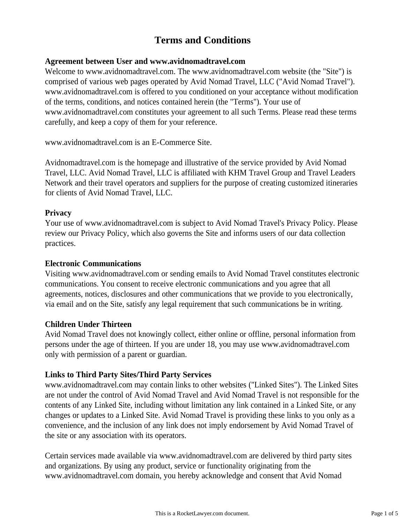# **Terms and Conditions**

#### **Agreement between User and www.avidnomadtravel.com**

Welcome to www.avidnomadtravel.com. The www.avidnomadtravel.com website (the "Site") is comprised of various web pages operated by Avid Nomad Travel, LLC ("Avid Nomad Travel"). www.avidnomadtravel.com is offered to you conditioned on your acceptance without modification of the terms, conditions, and notices contained herein (the "Terms"). Your use of www.avidnomadtravel.com constitutes your agreement to all such Terms. Please read these terms carefully, and keep a copy of them for your reference.

www.avidnomadtravel.com is an E-Commerce Site.

Avidnomadtravel.com is the homepage and illustrative of the service provided by Avid Nomad Travel, LLC. Avid Nomad Travel, LLC is affiliated with KHM Travel Group and Travel Leaders Network and their travel operators and suppliers for the purpose of creating customized itineraries for clients of Avid Nomad Travel, LLC.

#### **Privacy**

Your use of www.avidnomadtravel.com is subject to Avid Nomad Travel's Privacy Policy. Please review our Privacy Policy, which also governs the Site and informs users of our data collection practices.

#### **Electronic Communications**

Visiting www.avidnomadtravel.com or sending emails to Avid Nomad Travel constitutes electronic communications. You consent to receive electronic communications and you agree that all agreements, notices, disclosures and other communications that we provide to you electronically, via email and on the Site, satisfy any legal requirement that such communications be in writing.

#### **Children Under Thirteen**

Avid Nomad Travel does not knowingly collect, either online or offline, personal information from persons under the age of thirteen. If you are under 18, you may use www.avidnomadtravel.com only with permission of a parent or guardian.

#### **Links to Third Party Sites/Third Party Services**

www.avidnomadtravel.com may contain links to other websites ("Linked Sites"). The Linked Sites are not under the control of Avid Nomad Travel and Avid Nomad Travel is not responsible for the contents of any Linked Site, including without limitation any link contained in a Linked Site, or any changes or updates to a Linked Site. Avid Nomad Travel is providing these links to you only as a convenience, and the inclusion of any link does not imply endorsement by Avid Nomad Travel of the site or any association with its operators.

Certain services made available via www.avidnomadtravel.com are delivered by third party sites and organizations. By using any product, service or functionality originating from the www.avidnomadtravel.com domain, you hereby acknowledge and consent that Avid Nomad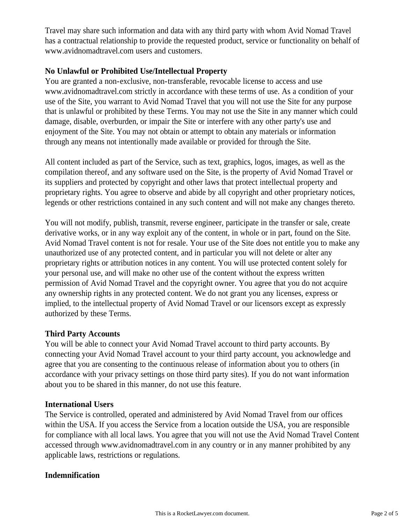Travel may share such information and data with any third party with whom Avid Nomad Travel has a contractual relationship to provide the requested product, service or functionality on behalf of www.avidnomadtravel.com users and customers.

## **No Unlawful or Prohibited Use/Intellectual Property**

You are granted a non-exclusive, non-transferable, revocable license to access and use www.avidnomadtravel.com strictly in accordance with these terms of use. As a condition of your use of the Site, you warrant to Avid Nomad Travel that you will not use the Site for any purpose that is unlawful or prohibited by these Terms. You may not use the Site in any manner which could damage, disable, overburden, or impair the Site or interfere with any other party's use and enjoyment of the Site. You may not obtain or attempt to obtain any materials or information through any means not intentionally made available or provided for through the Site.

All content included as part of the Service, such as text, graphics, logos, images, as well as the compilation thereof, and any software used on the Site, is the property of Avid Nomad Travel or its suppliers and protected by copyright and other laws that protect intellectual property and proprietary rights. You agree to observe and abide by all copyright and other proprietary notices, legends or other restrictions contained in any such content and will not make any changes thereto.

You will not modify, publish, transmit, reverse engineer, participate in the transfer or sale, create derivative works, or in any way exploit any of the content, in whole or in part, found on the Site. Avid Nomad Travel content is not for resale. Your use of the Site does not entitle you to make any unauthorized use of any protected content, and in particular you will not delete or alter any proprietary rights or attribution notices in any content. You will use protected content solely for your personal use, and will make no other use of the content without the express written permission of Avid Nomad Travel and the copyright owner. You agree that you do not acquire any ownership rights in any protected content. We do not grant you any licenses, express or implied, to the intellectual property of Avid Nomad Travel or our licensors except as expressly authorized by these Terms.

#### **Third Party Accounts**

You will be able to connect your Avid Nomad Travel account to third party accounts. By connecting your Avid Nomad Travel account to your third party account, you acknowledge and agree that you are consenting to the continuous release of information about you to others (in accordance with your privacy settings on those third party sites). If you do not want information about you to be shared in this manner, do not use this feature.

#### **International Users**

The Service is controlled, operated and administered by Avid Nomad Travel from our offices within the USA. If you access the Service from a location outside the USA, you are responsible for compliance with all local laws. You agree that you will not use the Avid Nomad Travel Content accessed through www.avidnomadtravel.com in any country or in any manner prohibited by any applicable laws, restrictions or regulations.

# **Indemnification**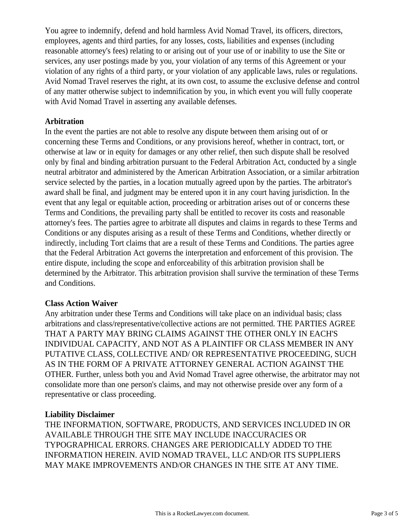You agree to indemnify, defend and hold harmless Avid Nomad Travel, its officers, directors, employees, agents and third parties, for any losses, costs, liabilities and expenses (including reasonable attorney's fees) relating to or arising out of your use of or inability to use the Site or services, any user postings made by you, your violation of any terms of this Agreement or your violation of any rights of a third party, or your violation of any applicable laws, rules or regulations. Avid Nomad Travel reserves the right, at its own cost, to assume the exclusive defense and control of any matter otherwise subject to indemnification by you, in which event you will fully cooperate with Avid Nomad Travel in asserting any available defenses.

## **Arbitration**

In the event the parties are not able to resolve any dispute between them arising out of or concerning these Terms and Conditions, or any provisions hereof, whether in contract, tort, or otherwise at law or in equity for damages or any other relief, then such dispute shall be resolved only by final and binding arbitration pursuant to the Federal Arbitration Act, conducted by a single neutral arbitrator and administered by the American Arbitration Association, or a similar arbitration service selected by the parties, in a location mutually agreed upon by the parties. The arbitrator's award shall be final, and judgment may be entered upon it in any court having jurisdiction. In the event that any legal or equitable action, proceeding or arbitration arises out of or concerns these Terms and Conditions, the prevailing party shall be entitled to recover its costs and reasonable attorney's fees. The parties agree to arbitrate all disputes and claims in regards to these Terms and Conditions or any disputes arising as a result of these Terms and Conditions, whether directly or indirectly, including Tort claims that are a result of these Terms and Conditions. The parties agree that the Federal Arbitration Act governs the interpretation and enforcement of this provision. The entire dispute, including the scope and enforceability of this arbitration provision shall be determined by the Arbitrator. This arbitration provision shall survive the termination of these Terms and Conditions.

# **Class Action Waiver**

Any arbitration under these Terms and Conditions will take place on an individual basis; class arbitrations and class/representative/collective actions are not permitted. THE PARTIES AGREE THAT A PARTY MAY BRING CLAIMS AGAINST THE OTHER ONLY IN EACH'S INDIVIDUAL CAPACITY, AND NOT AS A PLAINTIFF OR CLASS MEMBER IN ANY PUTATIVE CLASS, COLLECTIVE AND/ OR REPRESENTATIVE PROCEEDING, SUCH AS IN THE FORM OF A PRIVATE ATTORNEY GENERAL ACTION AGAINST THE OTHER. Further, unless both you and Avid Nomad Travel agree otherwise, the arbitrator may not consolidate more than one person's claims, and may not otherwise preside over any form of a representative or class proceeding.

# **Liability Disclaimer**

THE INFORMATION, SOFTWARE, PRODUCTS, AND SERVICES INCLUDED IN OR AVAILABLE THROUGH THE SITE MAY INCLUDE INACCURACIES OR TYPOGRAPHICAL ERRORS. CHANGES ARE PERIODICALLY ADDED TO THE INFORMATION HEREIN. AVID NOMAD TRAVEL, LLC AND/OR ITS SUPPLIERS MAY MAKE IMPROVEMENTS AND/OR CHANGES IN THE SITE AT ANY TIME.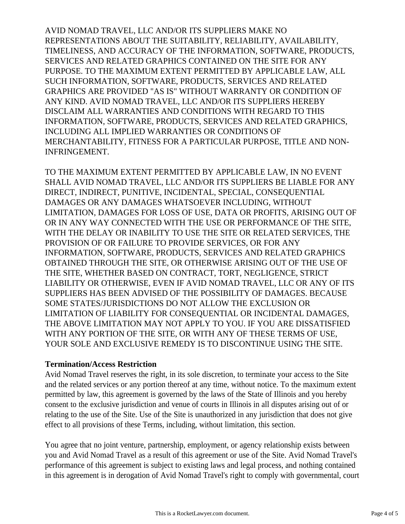AVID NOMAD TRAVEL, LLC AND/OR ITS SUPPLIERS MAKE NO REPRESENTATIONS ABOUT THE SUITABILITY, RELIABILITY, AVAILABILITY, TIMELINESS, AND ACCURACY OF THE INFORMATION, SOFTWARE, PRODUCTS, SERVICES AND RELATED GRAPHICS CONTAINED ON THE SITE FOR ANY PURPOSE. TO THE MAXIMUM EXTENT PERMITTED BY APPLICABLE LAW, ALL SUCH INFORMATION, SOFTWARE, PRODUCTS, SERVICES AND RELATED GRAPHICS ARE PROVIDED "AS IS" WITHOUT WARRANTY OR CONDITION OF ANY KIND. AVID NOMAD TRAVEL, LLC AND/OR ITS SUPPLIERS HEREBY DISCLAIM ALL WARRANTIES AND CONDITIONS WITH REGARD TO THIS INFORMATION, SOFTWARE, PRODUCTS, SERVICES AND RELATED GRAPHICS, INCLUDING ALL IMPLIED WARRANTIES OR CONDITIONS OF MERCHANTABILITY, FITNESS FOR A PARTICULAR PURPOSE, TITLE AND NON-INFRINGEMENT.

TO THE MAXIMUM EXTENT PERMITTED BY APPLICABLE LAW, IN NO EVENT SHALL AVID NOMAD TRAVEL, LLC AND/OR ITS SUPPLIERS BE LIABLE FOR ANY DIRECT, INDIRECT, PUNITIVE, INCIDENTAL, SPECIAL, CONSEQUENTIAL DAMAGES OR ANY DAMAGES WHATSOEVER INCLUDING, WITHOUT LIMITATION, DAMAGES FOR LOSS OF USE, DATA OR PROFITS, ARISING OUT OF OR IN ANY WAY CONNECTED WITH THE USE OR PERFORMANCE OF THE SITE, WITH THE DELAY OR INABILITY TO USE THE SITE OR RELATED SERVICES, THE PROVISION OF OR FAILURE TO PROVIDE SERVICES, OR FOR ANY INFORMATION, SOFTWARE, PRODUCTS, SERVICES AND RELATED GRAPHICS OBTAINED THROUGH THE SITE, OR OTHERWISE ARISING OUT OF THE USE OF THE SITE, WHETHER BASED ON CONTRACT, TORT, NEGLIGENCE, STRICT LIABILITY OR OTHERWISE, EVEN IF AVID NOMAD TRAVEL, LLC OR ANY OF ITS SUPPLIERS HAS BEEN ADVISED OF THE POSSIBILITY OF DAMAGES. BECAUSE SOME STATES/JURISDICTIONS DO NOT ALLOW THE EXCLUSION OR LIMITATION OF LIABILITY FOR CONSEQUENTIAL OR INCIDENTAL DAMAGES, THE ABOVE LIMITATION MAY NOT APPLY TO YOU. IF YOU ARE DISSATISFIED WITH ANY PORTION OF THE SITE, OR WITH ANY OF THESE TERMS OF USE, YOUR SOLE AND EXCLUSIVE REMEDY IS TO DISCONTINUE USING THE SITE.

#### **Termination/Access Restriction**

Avid Nomad Travel reserves the right, in its sole discretion, to terminate your access to the Site and the related services or any portion thereof at any time, without notice. To the maximum extent permitted by law, this agreement is governed by the laws of the State of Illinois and you hereby consent to the exclusive jurisdiction and venue of courts in Illinois in all disputes arising out of or relating to the use of the Site. Use of the Site is unauthorized in any jurisdiction that does not give effect to all provisions of these Terms, including, without limitation, this section.

You agree that no joint venture, partnership, employment, or agency relationship exists between you and Avid Nomad Travel as a result of this agreement or use of the Site. Avid Nomad Travel's performance of this agreement is subject to existing laws and legal process, and nothing contained in this agreement is in derogation of Avid Nomad Travel's right to comply with governmental, court